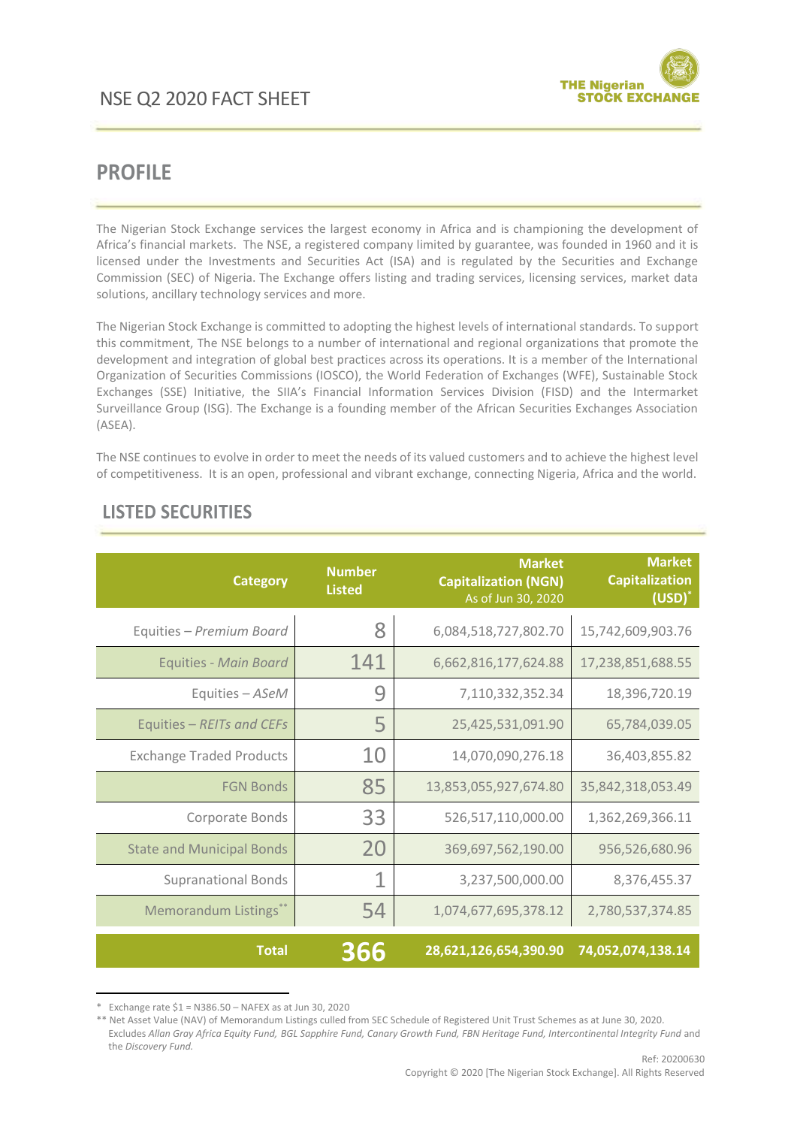

## **PROFILE**

The Nigerian Stock Exchange services the largest economy in Africa and is championing the development of Africa's financial markets. The NSE, a registered company limited by guarantee, was founded in 1960 and it is licensed under the Investments and Securities Act (ISA) and is regulated by the Securities and Exchange Commission (SEC) of Nigeria. The Exchange offers listing and trading services, licensing services, market data solutions, ancillary technology services and more.

The Nigerian Stock Exchange is committed to adopting the highest levels of international standards. To support this commitment, The NSE belongs to a number of international and regional organizations that promote the development and integration of global best practices across its operations. It is a member of the International Organization of Securities Commissions (IOSCO), the World Federation of Exchanges (WFE), Sustainable Stock Exchanges (SSE) Initiative, the SIIA's Financial Information Services Division (FISD) and the Intermarket Surveillance Group (ISG). The Exchange is a founding member of the African Securities Exchanges Association (ASEA).

The NSE continues to evolve in order to meet the needs of its valued customers and to achieve the highest level of competitiveness. It is an open, professional and vibrant exchange, connecting Nigeria, Africa and the world.

| <b>Category</b>                  | <b>Number</b><br><b>Listed</b> | <b>Market</b><br><b>Capitalization (NGN)</b><br>As of Jun 30, 2020 | <b>Market</b><br><b>Capitalization</b><br>$(USD)^*$ |
|----------------------------------|--------------------------------|--------------------------------------------------------------------|-----------------------------------------------------|
| Equities - Premium Board         | 8                              | 6,084,518,727,802.70                                               | 15,742,609,903.76                                   |
| <b>Equities - Main Board</b>     | 141                            | 6,662,816,177,624.88                                               | 17,238,851,688.55                                   |
| Equities - ASeM                  | 9                              | 7,110,332,352.34                                                   | 18,396,720.19                                       |
| Equities - REITs and CEFs        | 5                              | 25,425,531,091.90                                                  | 65,784,039.05                                       |
| <b>Exchange Traded Products</b>  | 10                             | 14,070,090,276.18                                                  | 36,403,855.82                                       |
| <b>FGN Bonds</b>                 | 85                             | 13,853,055,927,674.80                                              | 35,842,318,053.49                                   |
| Corporate Bonds                  | 33                             | 526,517,110,000.00                                                 | 1,362,269,366.11                                    |
| <b>State and Municipal Bonds</b> | 20                             | 369,697,562,190.00                                                 | 956,526,680.96                                      |
| <b>Supranational Bonds</b>       |                                | 3,237,500,000.00                                                   | 8,376,455.37                                        |
| Memorandum Listings**            | 54                             | 1,074,677,695,378.12                                               | 2,780,537,374.85                                    |
| <b>Total</b>                     | 366                            | 28,621,126,654,390.90                                              | 74,052,074,138.14                                   |

## **LISTED SECURITIES**

1

<sup>\*</sup> Exchange rate \$1 = N386.50 – NAFEX as at Jun 30, 2020

<sup>\*\*</sup> Net Asset Value (NAV) of Memorandum Listings culled from SEC Schedule of Registered Unit Trust Schemes as at June 30, 2020. Excludes *Allan Gray Africa Equity Fund, BGL Sapphire Fund, Canary Growth Fund, FBN Heritage Fund, Intercontinental Integrity Fund* and the *Discovery Fund.*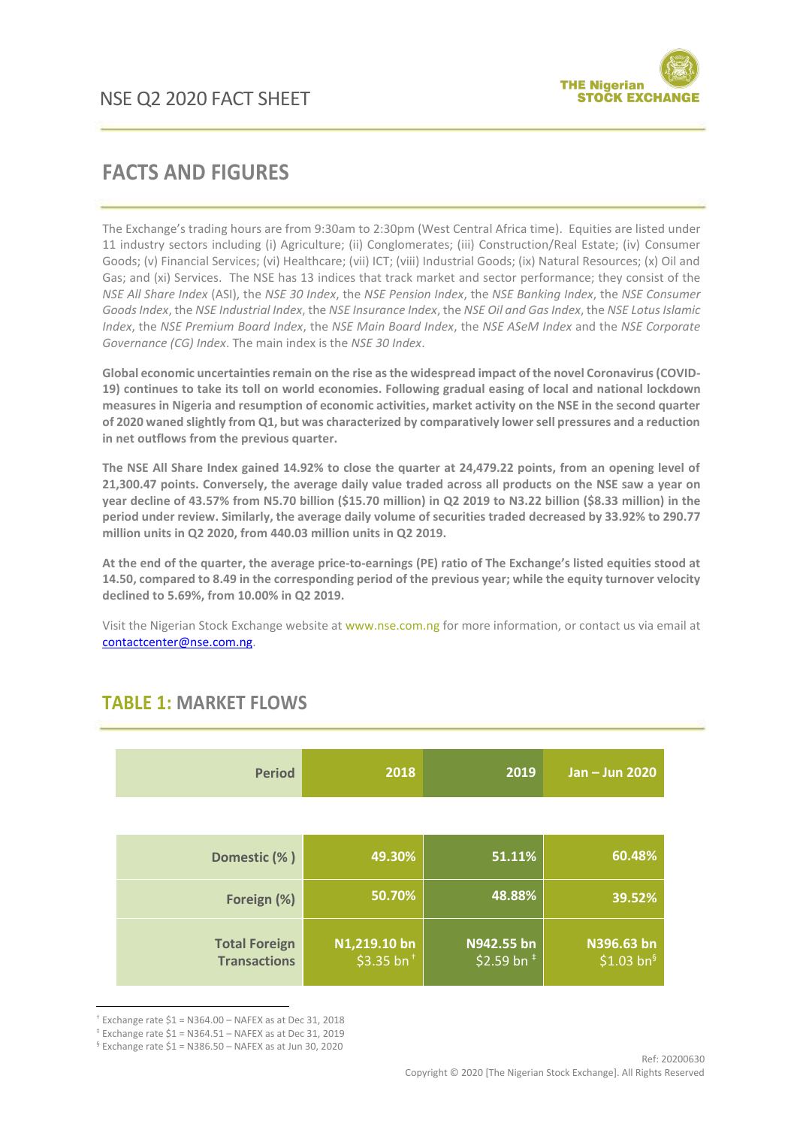

# **FACTS AND FIGURES**

The Exchange's trading hours are from 9:30am to 2:30pm (West Central Africa time). Equities are listed under 11 industry sectors including (i) Agriculture; (ii) Conglomerates; (iii) Construction/Real Estate; (iv) Consumer Goods; (v) Financial Services; (vi) Healthcare; (vii) ICT; (viii) Industrial Goods; (ix) Natural Resources; (x) Oil and Gas; and (xi) Services. The NSE has 13 indices that track market and sector performance; they consist of the *NSE All Share Index* (ASI), the *NSE 30 Index*, the *NSE Pension Index*, the *NSE Banking Index*, the *NSE Consumer Goods Index*, the *NSE Industrial Index*, the *NSE Insurance Index*, the *NSE Oil and Gas Index*, the *NSE Lotus Islamic Index*, the *NSE Premium Board Index*, the *NSE Main Board Index*, the *NSE ASeM Index* and the *NSE Corporate Governance (CG) Index*. The main index is the *NSE 30 Index*.

**Global economic uncertainties remain on the rise as the widespread impact of the novel Coronavirus (COVID-19) continues to take its toll on world economies. Following gradual easing of local and national lockdown measures in Nigeria and resumption of economic activities, market activity on the NSE in the second quarter of 2020 waned slightly from Q1, but was characterized by comparatively lower sell pressures and a reduction in net outflows from the previous quarter.**

**The NSE All Share Index gained 14.92% to close the quarter at 24,479.22 points, from an opening level of 21,300.47 points. Conversely, the average daily value traded across all products on the NSE saw a year on year decline of 43.57% from N5.70 billion (\$15.70 million) in Q2 2019 to N3.22 billion (\$8.33 million) in the period under review. Similarly, the average daily volume of securities traded decreased by 33.92% to 290.77 million units in Q2 2020, from 440.03 million units in Q2 2019.**

**At the end of the quarter, the average price-to-earnings (PE) ratio of The Exchange's listed equities stood at 14.50, compared to 8.49 in the corresponding period of the previous year; while the equity turnover velocity declined to 5.69%, from 10.00% in Q2 2019.**

Visit the Nigerian Stock Exchange website at www.nse.com.ng for more information, or contact us via email at [contactcenter@nse.com.ng.](mailto:contactcenter@nse.com.ng)

| <b>Period</b>                               | 2018                          | 2019                        | Jan - Jun 2020                       |
|---------------------------------------------|-------------------------------|-----------------------------|--------------------------------------|
|                                             |                               |                             |                                      |
| Domestic (%)                                | 49.30%                        | 51.11%                      | 60.48%                               |
| Foreign (%)                                 | 50.70%                        | 48.88%                      | 39.52%                               |
| <b>Total Foreign</b><br><b>Transactions</b> | N1,219.10 bn<br>\$3.35 $bn^+$ | N942.55 bn<br>\$2.59 bn $*$ | N396.63 bn<br>\$1.03 bn <sup>§</sup> |

## **TABLE 1: MARKET FLOWS**

**.** 

 $*$  Exchange rate \$1 = N364.00 - NAFEX as at Dec 31, 2018

 $*$  Exchange rate  $$1 = N364.51 - NAFEX$  as at Dec 31, 2019

<sup>§</sup> Exchange rate \$1 = N386.50 – NAFEX as at Jun 30, 2020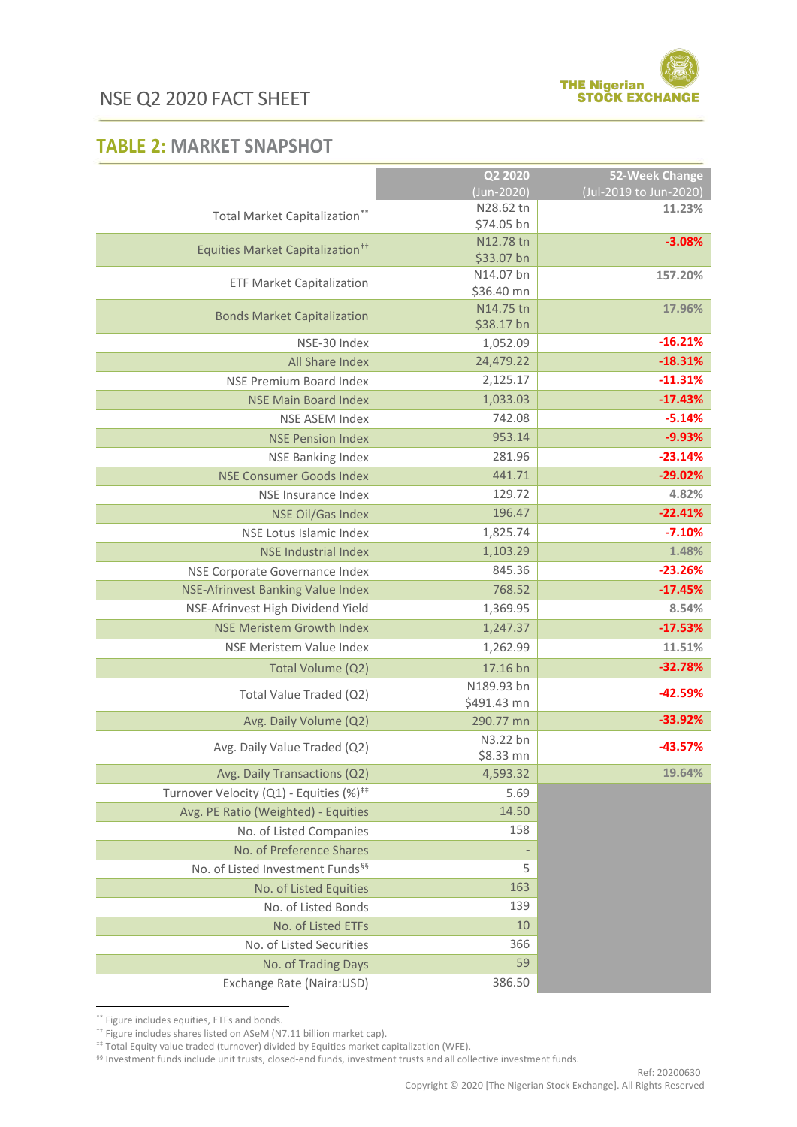

## **TABLE 2: MARKET SNAPSHOT**

|                                                     | Q2 2020                 | 52-Week Change         |
|-----------------------------------------------------|-------------------------|------------------------|
|                                                     | (Jun-2020)              | (Jul-2019 to Jun-2020) |
| Total Market Capitalization**                       | N28.62 tn               | 11.23%                 |
|                                                     | \$74.05 bn              |                        |
| Equities Market Capitalization <sup>++</sup>        | N12.78 tn               | $-3.08%$               |
|                                                     | \$33.07 bn<br>N14.07 bn | 157.20%                |
| <b>ETF Market Capitalization</b>                    | \$36.40 mn              |                        |
|                                                     | N14.75 tn               | 17.96%                 |
| <b>Bonds Market Capitalization</b>                  | \$38.17 bn              |                        |
| NSE-30 Index                                        | 1,052.09                | $-16.21%$              |
| All Share Index                                     | 24,479.22               | $-18.31%$              |
| NSE Premium Board Index                             | 2,125.17                | $-11.31%$              |
| <b>NSE Main Board Index</b>                         | 1,033.03                | $-17.43%$              |
| NSE ASEM Index                                      | 742.08                  | $-5.14%$               |
| <b>NSE Pension Index</b>                            | 953.14                  | $-9.93%$               |
| <b>NSE Banking Index</b>                            | 281.96                  | $-23.14%$              |
| <b>NSE Consumer Goods Index</b>                     | 441.71                  | $-29.02%$              |
| NSE Insurance Index                                 | 129.72                  | 4.82%                  |
| <b>NSE Oil/Gas Index</b>                            | 196.47                  | $-22.41%$              |
| NSE Lotus Islamic Index                             | 1,825.74                | $-7.10%$               |
| <b>NSE Industrial Index</b>                         | 1,103.29                | 1.48%                  |
| NSE Corporate Governance Index                      | 845.36                  | $-23.26%$              |
| NSE-Afrinvest Banking Value Index                   | 768.52                  | $-17.45%$              |
| NSE-Afrinvest High Dividend Yield                   | 1,369.95                | 8.54%                  |
| <b>NSE Meristem Growth Index</b>                    | 1,247.37                | $-17.53%$              |
| NSE Meristem Value Index                            | 1,262.99                | 11.51%                 |
| Total Volume (Q2)                                   | 17.16 bn                | $-32.78%$              |
|                                                     | N189.93 bn              |                        |
| Total Value Traded (Q2)                             | \$491.43 mn             | $-42.59%$              |
| Avg. Daily Volume (Q2)                              | 290.77 mn               | $-33.92%$              |
|                                                     | N3.22 bn                |                        |
| Avg. Daily Value Traded (Q2)                        | \$8.33 mn               | $-43.57%$              |
| Avg. Daily Transactions (Q2)                        | 4,593.32                | 19.64%                 |
| Turnover Velocity (Q1) - Equities (%) <sup>##</sup> | 5.69                    |                        |
| Avg. PE Ratio (Weighted) - Equities                 | 14.50                   |                        |
| No. of Listed Companies                             | 158                     |                        |
| No. of Preference Shares                            |                         |                        |
| No. of Listed Investment Funds <sup>§§</sup>        | 5                       |                        |
| No. of Listed Equities                              | 163                     |                        |
| No. of Listed Bonds                                 | 139                     |                        |
| No. of Listed ETFs                                  | 10                      |                        |
| No. of Listed Securities                            | 366                     |                        |
| No. of Trading Days                                 | 59                      |                        |
| Exchange Rate (Naira:USD)                           | 386.50                  |                        |

**.** \*\* Figure includes equities, ETFs and bonds.

§§ Investment funds include unit trusts, closed-end funds, investment trusts and all collective investment funds.

<sup>††</sup> Figure includes shares listed on ASeM (N7.11 billion market cap).

<sup>‡‡</sup> Total Equity value traded (turnover) divided by Equities market capitalization (WFE).